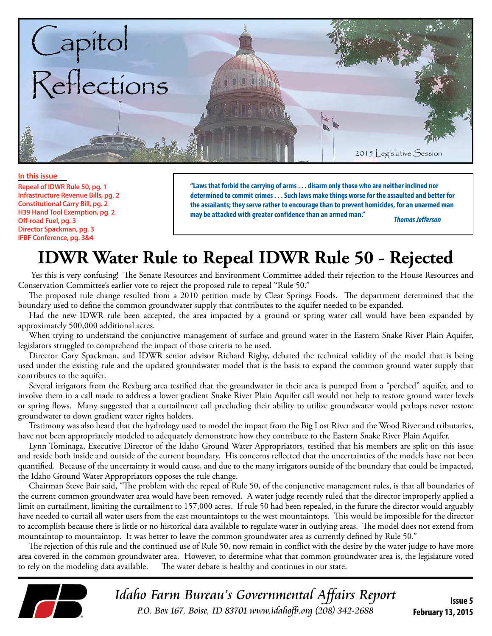

#### **In this issue**

**Repeal of IDWR Rule 50, pg. 1 Infrastructure Revenue Bills, pg. 2 Constitutional Carry Bill, pg. 2 H39 Hand Tool Exemption, pg. 2 Off-road Fuel, pg. 3 Director Spackman, pg. 3 IFBF Conference, pg. 3&4**

**"Laws that forbid the carrying of arms . . . disarm only those who are neither inclined nor determined to commit crimes . . . Such laws make things worse for the assaulted and better for the assailants; they serve rather to encourage than to prevent homicides, for an unarmed man may be attacked with greater confidence than an armed man."** *Thomas Jefferson*

## **IDWR Water Rule to Repeal IDWR Rule 50 - Rejected**

Yes this is very confusing! The Senate Resources and Environment Committee added their rejection to the House Resources and Conservation Committee's earlier vote to reject the proposed rule to repeal "Rule 50."

The proposed rule change resulted from a 2010 petition made by Clear Springs Foods. The department determined that the boundary used to define the common groundwater supply that contributes to the aquifer needed to be expanded.

Had the new IDWR rule been accepted, the area impacted by a ground or spring water call would have been expanded by approximately 500,000 additional acres.

When trying to understand the conjunctive management of surface and ground water in the Eastern Snake River Plain Aquifer, legislators struggled to comprehend the impact of those criteria to be used.

Director Gary Spackman, and IDWR senior advisor Richard Rigby, debated the technical validity of the model that is being used under the existing rule and the updated groundwater model that is the basis to expand the common ground water supply that contributes to the aquifer.

Several irrigators from the Rexburg area testified that the groundwater in their area is pumped from a "perched" aquifer, and to involve them in a call made to address a lower gradient Snake River Plain Aquifer call would not help to restore ground water levels or spring flows. Many suggested that a curtailment call precluding their ability to utilize groundwater would perhaps never restore groundwater to down gradient water rights holders.

Testimony was also heard that the hydrology used to model the impact from the Big Lost River and the Wood River and tributaries, have not been appropriately modeled to adequately demonstrate how they contribute to the Eastern Snake River Plain Aquifer.

Lynn Tominaga, Executive Director of the Idaho Ground Water Appropriators, testified that his members are split on this issue and reside both inside and outside of the current boundary. His concerns reflected that the uncertainties of the models have not been quantified. Because of the uncertainty it would cause, and due to the many irrigators outside of the boundary that could be impacted, the Idaho Ground Water Appropriators opposes the rule change.

Chairman Steve Bair said, "The problem with the repeal of Rule 50, of the conjunctive management rules, is that all boundaries of the current common groundwater area would have been removed. A water judge recently ruled that the director improperly applied a limit on curtailment, limiting the curtailment to 157,000 acres. If rule 50 had been repealed, in the future the director would arguably have needed to curtail all water users from the east mountaintops to the west mountaintops. This would be impossible for the director to accomplish because there is little or no historical data available to regulate water in outlying areas. The model does not extend from mountaintop to mountaintop. It was better to leave the common groundwater area as currently defined by Rule 50."

The rejection of this rule and the continued use of Rule 50, now remain in conflict with the desire by the water judge to have more area covered in the common groundwater area. However, to determine what that common groundwater area is, the legislature voted<br>to rely on the modeling data available. The water debate is healthy and continues in our state. The water debate is healthy and continues in our state.



Idaho Farm Bureau's Governmental Affairs Report P.O. Box 167, Boise, ID 83701 www.idahofb.org (208) 342-2688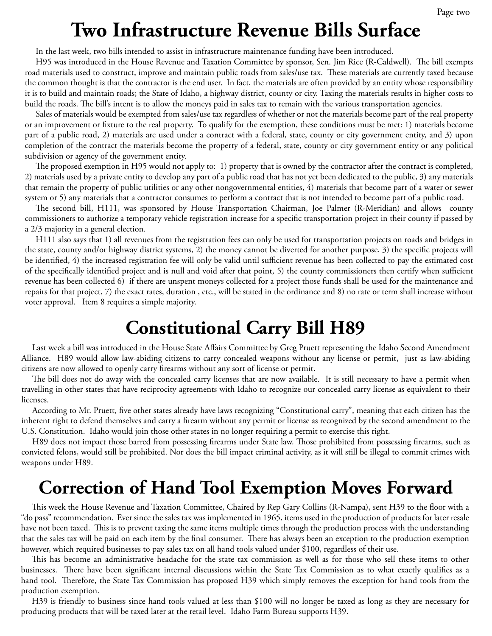# **Two Infrastructure Revenue Bills Surface**

In the last week, two bills intended to assist in infrastructure maintenance funding have been introduced.

H95 was introduced in the House Revenue and Taxation Committee by sponsor, Sen. Jim Rice (R-Caldwell). The bill exempts road materials used to construct, improve and maintain public roads from sales/use tax. These materials are currently taxed because the common thought is that the contractor is the end user. In fact, the materials are often provided by an entity whose responsibility it is to build and maintain roads; the State of Idaho, a highway district, county or city. Taxing the materials results in higher costs to build the roads. The bill's intent is to allow the moneys paid in sales tax to remain with the various transportation agencies.

Sales of materials would be exempted from sales/use tax regardless of whether or not the materials become part of the real property or an improvement or fixture to the real property. To qualify for the exemption, these conditions must be met: 1) materials become part of a public road, 2) materials are used under a contract with a federal, state, county or city government entity, and 3) upon completion of the contract the materials become the property of a federal, state, county or city government entity or any political subdivision or agency of the government entity.

The proposed exemption in H95 would not apply to: 1) property that is owned by the contractor after the contract is completed, 2) materials used by a private entity to develop any part of a public road that has not yet been dedicated to the public, 3) any materials that remain the property of public utilities or any other nongovernmental entities, 4) materials that become part of a water or sewer system or 5) any materials that a contractor consumes to perform a contract that is not intended to become part of a public road.

The second bill, H111, was sponsored by House Transportation Chairman, Joe Palmer (R-Meridian) and allows county commissioners to authorize a temporary vehicle registration increase for a specific transportation project in their county if passed by a 2/3 majority in a general election.

H111 also says that 1) all revenues from the registration fees can only be used for transportation projects on roads and bridges in the state, county and/or highway district systems, 2) the money cannot be diverted for another purpose, 3) the specific projects will be identified, 4) the increased registration fee will only be valid until sufficient revenue has been collected to pay the estimated cost of the specifically identified project and is null and void after that point, 5) the county commissioners then certify when sufficient revenue has been collected 6) if there are unspent moneys collected for a project those funds shall be used for the maintenance and repairs for that project, 7) the exact rates, duration , etc., will be stated in the ordinance and 8) no rate or term shall increase without voter approval. Item 8 requires a simple majority.

# **Constitutional Carry Bill H89**

Last week a bill was introduced in the House State Affairs Committee by Greg Pruett representing the Idaho Second Amendment Alliance. H89 would allow law-abiding citizens to carry concealed weapons without any license or permit, just as law-abiding citizens are now allowed to openly carry firearms without any sort of license or permit.

The bill does not do away with the concealed carry licenses that are now available. It is still necessary to have a permit when travelling in other states that have reciprocity agreements with Idaho to recognize our concealed carry license as equivalent to their licenses.

According to Mr. Pruett, five other states already have laws recognizing "Constitutional carry", meaning that each citizen has the inherent right to defend themselves and carry a firearm without any permit or license as recognized by the second amendment to the U.S. Constitution. Idaho would join those other states in no longer requiring a permit to exercise this right.

H89 does not impact those barred from possessing firearms under State law. Those prohibited from possessing firearms, such as convicted felons, would still be prohibited. Nor does the bill impact criminal activity, as it will still be illegal to commit crimes with weapons under H89.

### **Correction of Hand Tool Exemption Moves Forward**

This week the House Revenue and Taxation Committee, Chaired by Rep Gary Collins (R-Nampa), sent H39 to the floor with a "do pass" recommendation. Ever since the sales tax was implemented in 1965, items used in the production of products for later resale have not been taxed. This is to prevent taxing the same items multiple times through the production process with the understanding that the sales tax will be paid on each item by the final consumer. There has always been an exception to the production exemption however, which required businesses to pay sales tax on all hand tools valued under \$100, regardless of their use.

This has become an administrative headache for the state tax commission as well as for those who sell these items to other businesses. There have been significant internal discussions within the State Tax Commission as to what exactly qualifies as a hand tool. Therefore, the State Tax Commission has proposed H39 which simply removes the exception for hand tools from the production exemption.

H39 is friendly to business since hand tools valued at less than \$100 will no longer be taxed as long as they are necessary for producing products that will be taxed later at the retail level. Idaho Farm Bureau supports H39.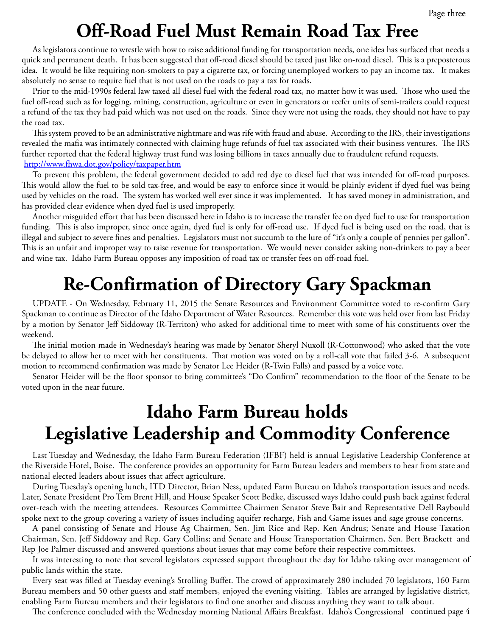# **Off-Road Fuel Must Remain Road Tax Free**

As legislators continue to wrestle with how to raise additional funding for transportation needs, one idea has surfaced that needs a quick and permanent death. It has been suggested that off-road diesel should be taxed just like on-road diesel. This is a preposterous idea. It would be like requiring non-smokers to pay a cigarette tax, or forcing unemployed workers to pay an income tax. It makes absolutely no sense to require fuel that is not used on the roads to pay a tax for roads.

Prior to the mid-1990s federal law taxed all diesel fuel with the federal road tax, no matter how it was used. Those who used the fuel off-road such as for logging, mining, construction, agriculture or even in generators or reefer units of semi-trailers could request a refund of the tax they had paid which was not used on the roads. Since they were not using the roads, they should not have to pay the road tax.

This system proved to be an administrative nightmare and was rife with fraud and abuse. According to the IRS, their investigations revealed the mafia was intimately connected with claiming huge refunds of fuel tax associated with their business ventures. The IRS further reported that the federal highway trust fund was losing billions in taxes annually due to fraudulent refund requests. <http://www.fhwa.dot.gov/policy/taxpaper.htm>

To prevent this problem, the federal government decided to add red dye to diesel fuel that was intended for off-road purposes. This would allow the fuel to be sold tax-free, and would be easy to enforce since it would be plainly evident if dyed fuel was being used by vehicles on the road. The system has worked well ever since it was implemented. It has saved money in administration, and has provided clear evidence when dyed fuel is used improperly.

Another misguided effort that has been discussed here in Idaho is to increase the transfer fee on dyed fuel to use for transportation funding. This is also improper, since once again, dyed fuel is only for off-road use. If dyed fuel is being used on the road, that is illegal and subject to severe fines and penalties. Legislators must not succumb to the lure of "it's only a couple of pennies per gallon". This is an unfair and improper way to raise revenue for transportation. We would never consider asking non-drinkers to pay a beer and wine tax. Idaho Farm Bureau opposes any imposition of road tax or transfer fees on off-road fuel.

# **Re-Confirmation of Directory Gary Spackman**

UPDATE - On Wednesday, February 11, 2015 the Senate Resources and Environment Committee voted to re-confirm Gary Spackman to continue as Director of the Idaho Department of Water Resources. Remember this vote was held over from last Friday by a motion by Senator Jeff Siddoway (R-Territon) who asked for additional time to meet with some of his constituents over the weekend.

The initial motion made in Wednesday's hearing was made by Senator Sheryl Nuxoll (R-Cottonwood) who asked that the vote be delayed to allow her to meet with her constituents. That motion was voted on by a roll-call vote that failed 3-6. A subsequent motion to recommend confirmation was made by Senator Lee Heider (R-Twin Falls) and passed by a voice vote.

Senator Heider will be the floor sponsor to bring committee's "Do Confirm" recommendation to the floor of the Senate to be voted upon in the near future.

# **Idaho Farm Bureau holds Legislative Leadership and Commodity Conference**

Last Tuesday and Wednesday, the Idaho Farm Bureau Federation (IFBF) held is annual Legislative Leadership Conference at the Riverside Hotel, Boise. The conference provides an opportunity for Farm Bureau leaders and members to hear from state and national elected leaders about issues that affect agriculture.

During Tuesday's opening lunch, ITD Director, Brian Ness, updated Farm Bureau on Idaho's transportation issues and needs. Later, Senate President Pro Tem Brent Hill, and House Speaker Scott Bedke, discussed ways Idaho could push back against federal over-reach with the meeting attendees. Resources Committee Chairmen Senator Steve Bair and Representative Dell Raybould spoke next to the group covering a variety of issues including aquifer recharge, Fish and Game issues and sage grouse concerns.

A panel consisting of Senate and House Ag Chairmen, Sen. Jim Rice and Rep. Ken Andrus; Senate and House Taxation Chairman, Sen. Jeff Siddoway and Rep. Gary Collins; and Senate and House Transportation Chairmen, Sen. Bert Brackett and Rep Joe Palmer discussed and answered questions about issues that may come before their respective committees.

It was interesting to note that several legislators expressed support throughout the day for Idaho taking over management of public lands within the state.

Every seat was filled at Tuesday evening's Strolling Buffet. The crowd of approximately 280 included 70 legislators, 160 Farm Bureau members and 50 other guests and staff members, enjoyed the evening visiting. Tables are arranged by legislative district, enabling Farm Bureau members and their legislators to find one another and discuss anything they want to talk about.

The conference concluded with the Wednesday morning National Affairs Breakfast. Idaho's Congressional continued page 4